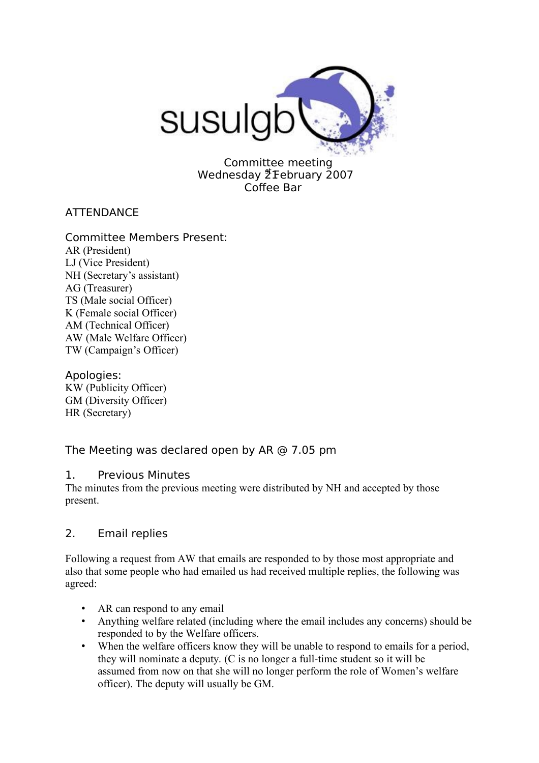

Committee meeting Wednesday 21 February 2007 Coffee Bar

## **ATTENDANCE**

- Committee Members Present: AR (President) LJ (Vice President) NH (Secretary's assistant) AG (Treasurer) TS (Male social Officer) K (Female social Officer) AM (Technical Officer) AW (Male Welfare Officer) TW (Campaign's Officer)
- Apologies: KW (Publicity Officer) GM (Diversity Officer) HR (Secretary)

# The Meeting was declared open by AR @ 7.05 pm

## 1. Previous Minutes

The minutes from the previous meeting were distributed by NH and accepted by those present.

## 2. Email replies

Following a request from AW that emails are responded to by those most appropriate and also that some people who had emailed us had received multiple replies, the following was agreed:

- AR can respond to any email
- Anything welfare related (including where the email includes any concerns) should be responded to by the Welfare officers.
- When the welfare officers know they will be unable to respond to emails for a period, they will nominate a deputy. (C is no longer a full-time student so it will be assumed from now on that she will no longer perform the role of Women's welfare officer). The deputy will usually be GM.